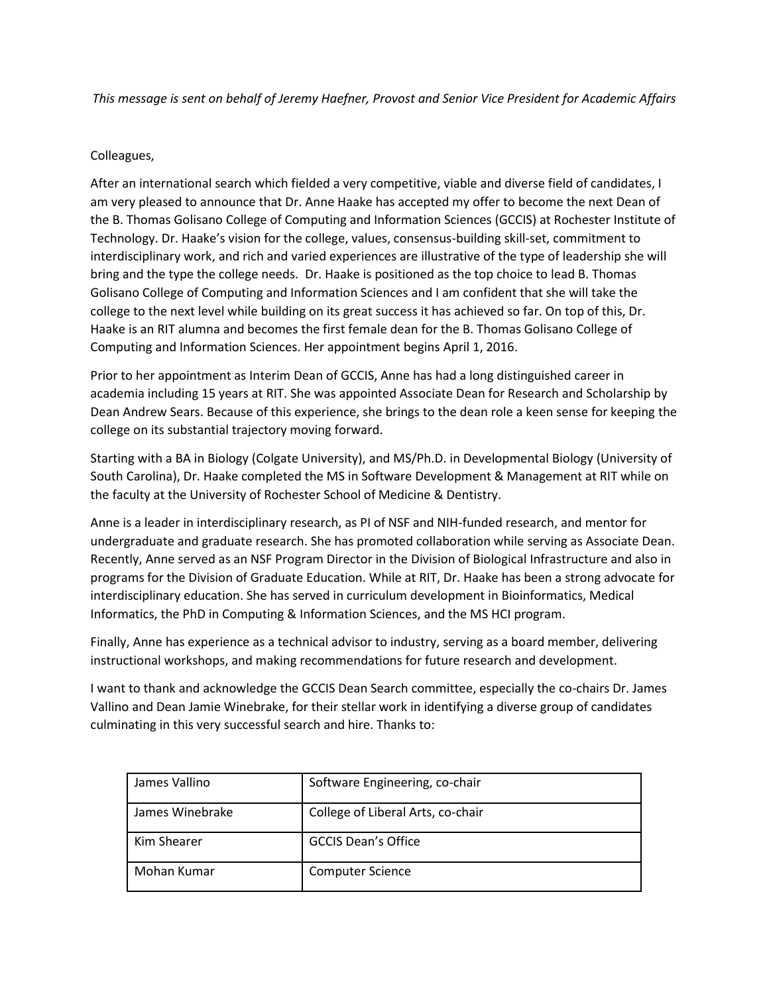*This message is sent on behalf of Jeremy Haefner, Provost and Senior Vice President for Academic Affairs*

## Colleagues,

After an international search which fielded a very competitive, viable and diverse field of candidates, I am very pleased to announce that Dr. Anne Haake has accepted my offer to become the next Dean of the B. Thomas Golisano College of Computing and Information Sciences (GCCIS) at Rochester Institute of Technology. Dr. Haake's vision for the college, values, consensus-building skill-set, commitment to interdisciplinary work, and rich and varied experiences are illustrative of the type of leadership she will bring and the type the college needs. Dr. Haake is positioned as the top choice to lead B. Thomas Golisano College of Computing and Information Sciences and I am confident that she will take the college to the next level while building on its great success it has achieved so far. On top of this, Dr. Haake is an RIT alumna and becomes the first female dean for the B. Thomas Golisano College of Computing and Information Sciences. Her appointment begins April 1, 2016.

Prior to her appointment as Interim Dean of GCCIS, Anne has had a long distinguished career in academia including 15 years at RIT. She was appointed Associate Dean for Research and Scholarship by Dean Andrew Sears. Because of this experience, she brings to the dean role a keen sense for keeping the college on its substantial trajectory moving forward.

Starting with a BA in Biology (Colgate University), and MS/Ph.D. in Developmental Biology (University of South Carolina), Dr. Haake completed the MS in Software Development & Management at RIT while on the faculty at the University of Rochester School of Medicine & Dentistry.

Anne is a leader in interdisciplinary research, as PI of NSF and NIH-funded research, and mentor for undergraduate and graduate research. She has promoted collaboration while serving as Associate Dean. Recently, Anne served as an NSF Program Director in the Division of Biological Infrastructure and also in programs for the Division of Graduate Education. While at RIT, Dr. Haake has been a strong advocate for interdisciplinary education. She has served in curriculum development in Bioinformatics, Medical Informatics, the PhD in Computing & Information Sciences, and the MS HCI program.

Finally, Anne has experience as a technical advisor to industry, serving as a board member, delivering instructional workshops, and making recommendations for future research and development.

I want to thank and acknowledge the GCCIS Dean Search committee, especially the co-chairs Dr. James Vallino and Dean Jamie Winebrake, for their stellar work in identifying a diverse group of candidates culminating in this very successful search and hire. Thanks to:

| James Vallino   | Software Engineering, co-chair    |
|-----------------|-----------------------------------|
| James Winebrake | College of Liberal Arts, co-chair |
| Kim Shearer     | <b>GCCIS Dean's Office</b>        |
| Mohan Kumar     | <b>Computer Science</b>           |